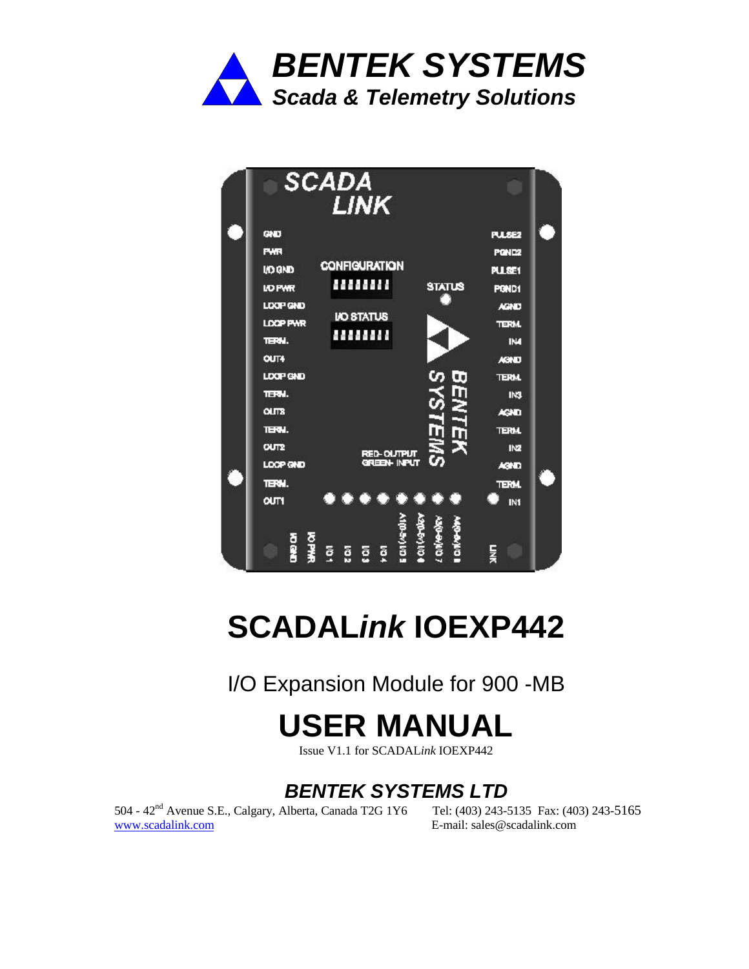

| <b>SCADA</b><br><b>LINK</b>                                        |                   |  |
|--------------------------------------------------------------------|-------------------|--|
| GND                                                                | <b>PUSE2</b>      |  |
| <b>PWR</b>                                                         | POND <sub>2</sub> |  |
| <b>CONFIGURATION</b><br><b>I/O GND</b>                             | <b>PLLSE1</b>     |  |
| .<br><b>STATUS</b><br><b>I/O PWR</b>                               | PGND1             |  |
| LOOP GND                                                           | <b>AGNO</b>       |  |
| <b>I/O STATUS</b><br><b>LOCP PWR</b>                               | <b>TERM.</b>      |  |
| <br>TERN.                                                          | <b>TM</b>         |  |
| OUT4                                                               | <b>AGNO</b>       |  |
| LDOP GND                                                           | <b>TERM.</b>      |  |
| TERN.                                                              | IN3               |  |
| <b>OUTS</b>                                                        | AGND              |  |
| TERN.                                                              | <b>TERM.</b>      |  |
| u<br>3<br><b>CUT2</b>                                              | IN2               |  |
| <b>RED-OUTPUT</b><br>GREEN- INPUT<br>LOOP GND                      | <b>AGE</b>        |  |
| TERN.                                                              | <b>TERM</b>       |  |
| $\bullet\bullet\bullet\bullet\bullet\bullet\bullet$<br><b>OUT1</b> | IN1               |  |
|                                                                    |                   |  |
|                                                                    |                   |  |
| a<br>B<br>を子弟<br>ថ្មី<br>ğ<br>ខ្ល<br>ā                             | Ę                 |  |

# **SCADAL***ink* **IOEXP442**

I/O Expansion Module for 900 -MB

# **USER MANUAL**

Issue V1.1 for SCADAL*ink* IOEXP442

## *BENTEK SYSTEMS LTD*

504 - 42nd Avenue S.E., Calgary, Alberta, Canada T2G 1Y6 Tel: (403) 243-5135 Fax: (403) 243-5165 www.scadalink.com E-mail: sales@scadalink.com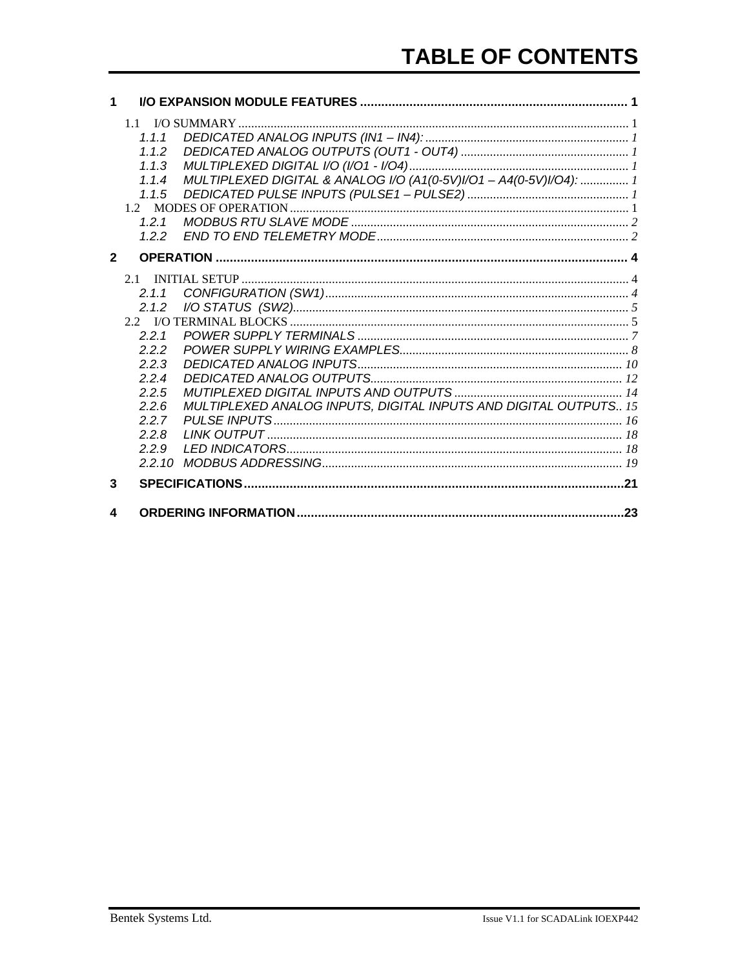| 1              |                                                                                                       |                                                                    |  |
|----------------|-------------------------------------------------------------------------------------------------------|--------------------------------------------------------------------|--|
|                | 1.1.1<br>112<br>1.1.3<br>1.1.4<br>1.1.5<br>121<br>1.2.2                                               | MULTIPLEXED DIGITAL & ANALOG I/O (A1(0-5V)I/O1 - A4(0-5V)I/O4):  1 |  |
| $\overline{2}$ |                                                                                                       |                                                                    |  |
|                | 2.1.1<br>2.1.2<br>2.2.1<br>222<br>2.2.3<br>224<br>2.2.5<br>2.2.6<br>2.2.7<br>2.2.8<br>2.2.9<br>2.2.10 | MULTIPLEXED ANALOG INPUTS, DIGITAL INPUTS AND DIGITAL OUTPUTS 15   |  |
| 3              |                                                                                                       |                                                                    |  |
| 4              |                                                                                                       |                                                                    |  |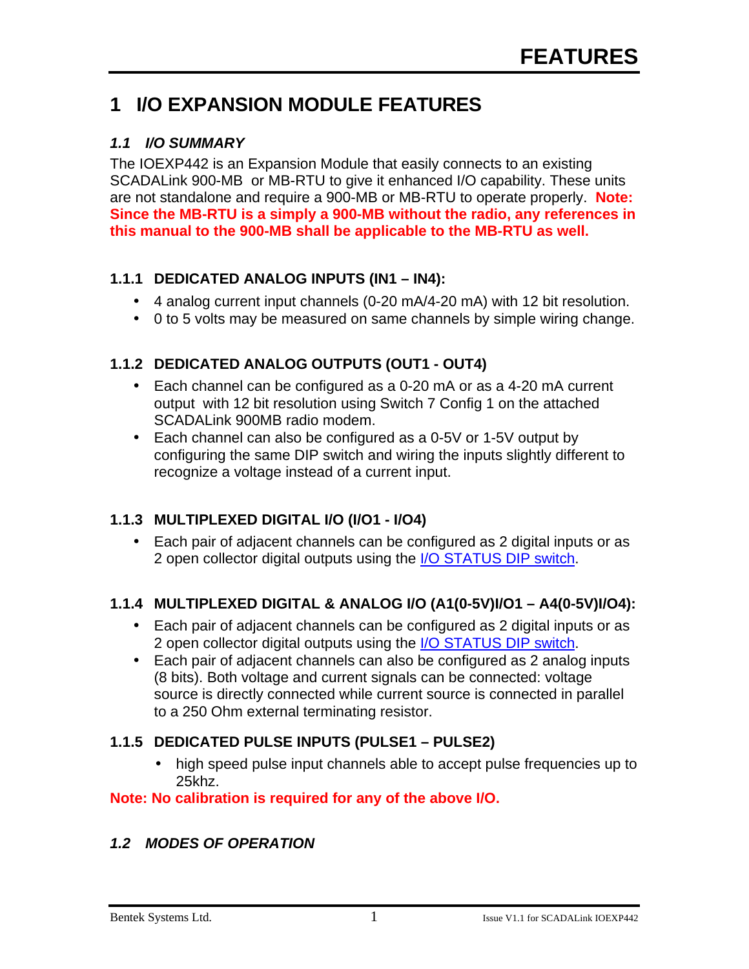## **1 I/O EXPANSION MODULE FEATURES**

#### *1.1 I/O SUMMARY*

The IOEXP442 is an Expansion Module that easily connects to an existing SCADALink 900-MB or MB-RTU to give it enhanced I/O capability. These units are not standalone and require a 900-MB or MB-RTU to operate properly. **Note: Since the MB-RTU is a simply a 900-MB without the radio, any references in this manual to the 900-MB shall be applicable to the MB-RTU as well.**

#### **1.1.1 DEDICATED ANALOG INPUTS (IN1 – IN4):**

- 4 analog current input channels (0-20 mA/4-20 mA) with 12 bit resolution.
- 0 to 5 volts may be measured on same channels by simple wiring change.

#### **1.1.2 DEDICATED ANALOG OUTPUTS (OUT1 - OUT4)**

- Each channel can be configured as a 0-20 mA or as a 4-20 mA current output with 12 bit resolution using Switch 7 Config 1 on the attached SCADALink 900MB radio modem.
- Each channel can also be configured as a 0-5V or 1-5V output by configuring the same DIP switch and wiring the inputs slightly different to recognize a voltage instead of a current input.

#### **1.1.3 MULTIPLEXED DIGITAL I/O (I/O1 - I/O4)**

• Each pair of adjacent channels can be configured as 2 digital inputs or as 2 open collector digital outputs using the I/O STATUS DIP switch.

#### **1.1.4 MULTIPLEXED DIGITAL & ANALOG I/O (A1(0-5V)I/O1 – A4(0-5V)I/O4):**

- Each pair of adjacent channels can be configured as 2 digital inputs or as 2 open collector digital outputs using the I/O STATUS DIP switch.
- Each pair of adjacent channels can also be configured as 2 analog inputs (8 bits). Both voltage and current signals can be connected: voltage source is directly connected while current source is connected in parallel to a 250 Ohm external terminating resistor.

#### **1.1.5 DEDICATED PULSE INPUTS (PULSE1 – PULSE2)**

• high speed pulse input channels able to accept pulse frequencies up to 25khz.

#### **Note: No calibration is required for any of the above I/O.**

#### *1.2 MODES OF OPERATION*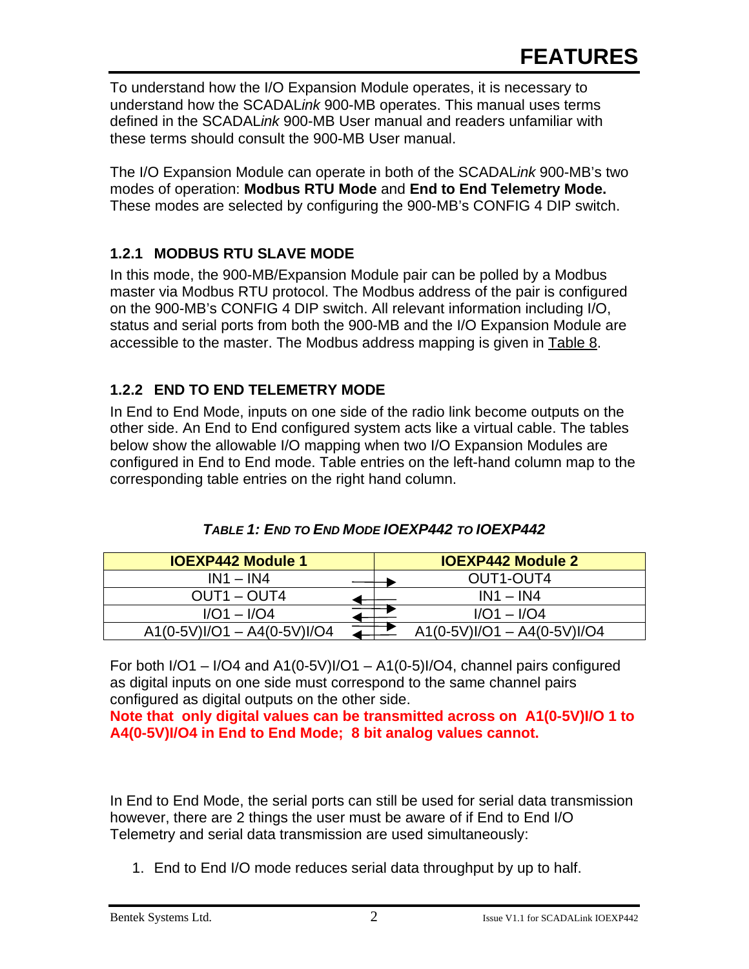To understand how the I/O Expansion Module operates, it is necessary to understand how the SCADAL*ink* 900-MB operates. This manual uses terms defined in the SCADAL*ink* 900-MB User manual and readers unfamiliar with these terms should consult the 900-MB User manual.

The I/O Expansion Module can operate in both of the SCADAL*ink* 900-MB's two modes of operation: **Modbus RTU Mode** and **End to End Telemetry Mode.** These modes are selected by configuring the 900-MB's CONFIG 4 DIP switch.

#### **1.2.1 MODBUS RTU SLAVE MODE**

In this mode, the 900-MB/Expansion Module pair can be polled by a Modbus master via Modbus RTU protocol. The Modbus address of the pair is configured on the 900-MB's CONFIG 4 DIP switch. All relevant information including I/O, status and serial ports from both the 900-MB and the I/O Expansion Module are accessible to the master. The Modbus address mapping is given in Table 8.

#### **1.2.2 END TO END TELEMETRY MODE**

In End to End Mode, inputs on one side of the radio link become outputs on the other side. An End to End configured system acts like a virtual cable. The tables below show the allowable I/O mapping when two I/O Expansion Modules are configured in End to End mode. Table entries on the left-hand column map to the corresponding table entries on the right hand column.

| <b>IOEXP442 Module 1</b>      | <b>IOEXP442 Module 2</b>      |
|-------------------------------|-------------------------------|
| $IN1 - IN4$                   | OUT1-OUT4                     |
| OUT1 – OUT4                   | $IN1 - IN4$                   |
| $I/O1 - I/O4$                 | $I/O1 - I/O4$                 |
| $A1(0-5V)I/O1 - A4(0-5V)I/O4$ | $A1(0-5V)I/O1 - A4(0-5V)I/O4$ |

For both I/O1 – I/O4 and A1(0-5V)I/O1 – A1(0-5)I/O4, channel pairs configured as digital inputs on one side must correspond to the same channel pairs configured as digital outputs on the other side.

**Note that only digital values can be transmitted across on A1(0-5V)I/O 1 to A4(0-5V)I/O4 in End to End Mode; 8 bit analog values cannot.**

In End to End Mode, the serial ports can still be used for serial data transmission however, there are 2 things the user must be aware of if End to End I/O Telemetry and serial data transmission are used simultaneously:

1. End to End I/O mode reduces serial data throughput by up to half.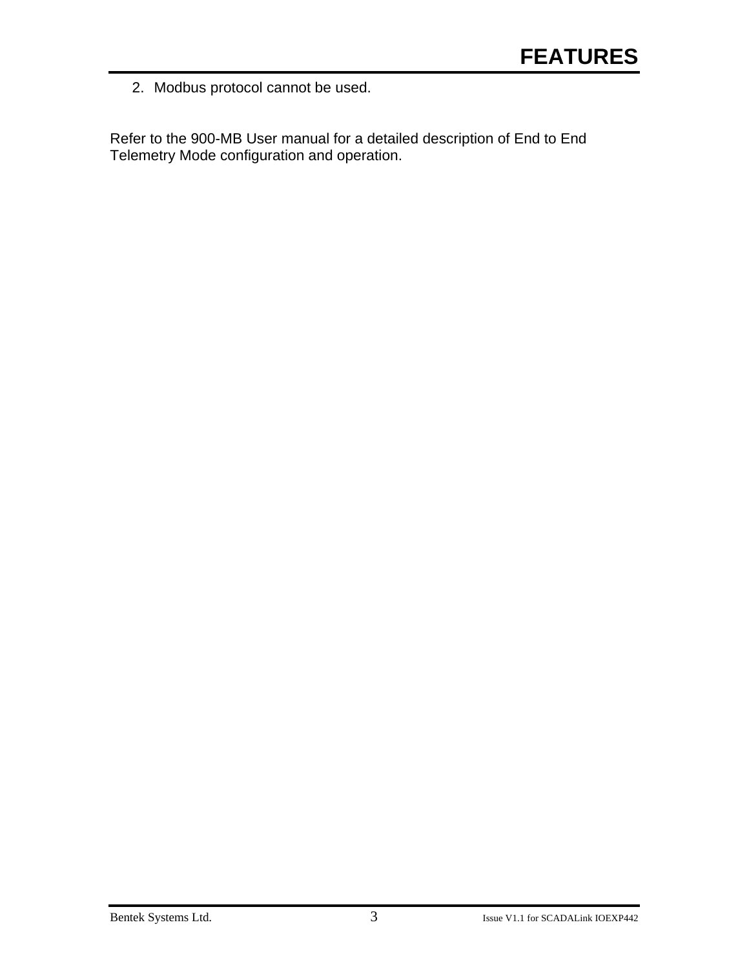2. Modbus protocol cannot be used.

Refer to the 900-MB User manual for a detailed description of End to End Telemetry Mode configuration and operation.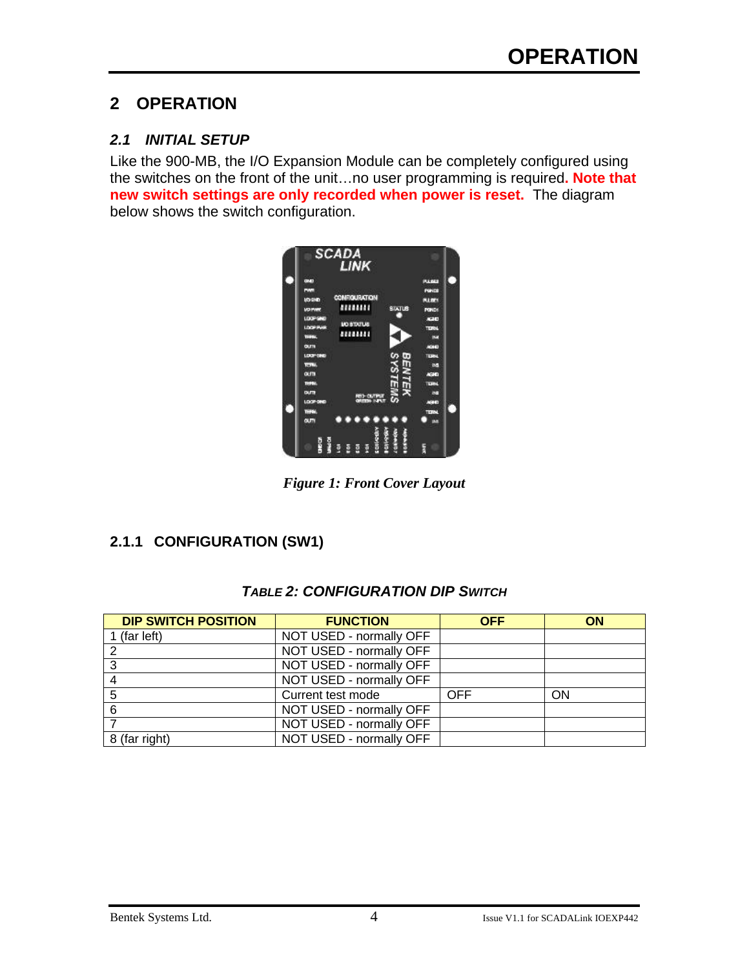### **2 OPERATION**

#### *2.1 INITIAL SETUP*

Like the 900-MB, the I/O Expansion Module can be completely configured using the switches on the front of the unit…no user programming is required**. Note that new switch settings are only recorded when power is reset.** The diagram below shows the switch configuration.



*Figure 1: Front Cover Layout*

#### **2.1.1 CONFIGURATION (SW1)**

| <b>TABLE 2: CONFIGURATION DIP SWITCH</b> |
|------------------------------------------|
|------------------------------------------|

| <b>DIP SWITCH POSITION</b> | <b>FUNCTION</b>         | <b>OFF</b> | <b>ON</b> |
|----------------------------|-------------------------|------------|-----------|
| 1 (far left)               | NOT USED - normally OFF |            |           |
| 2                          | NOT USED - normally OFF |            |           |
| 3                          | NOT USED - normally OFF |            |           |
| 4                          | NOT USED - normally OFF |            |           |
| 5                          | Current test mode       | OFF        | ON        |
| 6                          | NOT USED - normally OFF |            |           |
|                            | NOT USED - normally OFF |            |           |
| 8 (far right)              | NOT USED - normally OFF |            |           |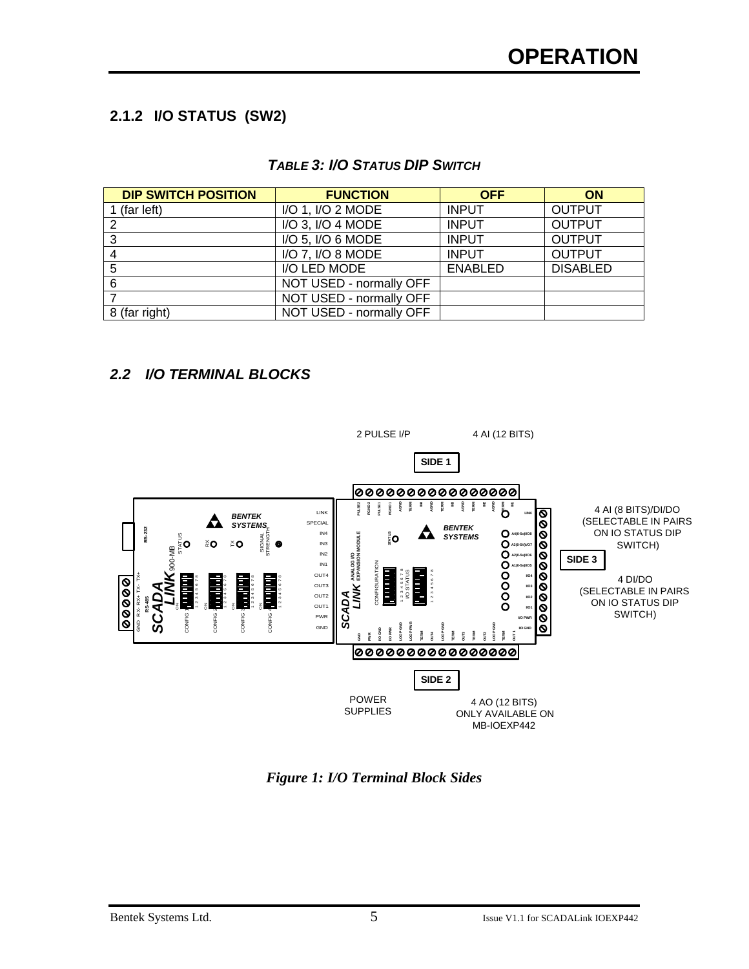#### **2.1.2 I/O STATUS (SW2)**

#### *TABLE 3: I/O STATUS DIP SWITCH*

| <b>DIP SWITCH POSITION</b> | <b>FUNCTION</b>         | <b>OFF</b>     | ON              |
|----------------------------|-------------------------|----------------|-----------------|
| (far left)                 | I/O 1, I/O 2 MODE       | <b>INPUT</b>   | <b>OUTPUT</b>   |
| っ                          | I/O 3, I/O 4 MODE       | <b>INPUT</b>   | <b>OUTPUT</b>   |
| 3                          | I/O 5, I/O 6 MODE       | <b>INPUT</b>   | <b>OUTPUT</b>   |
|                            | I/O 7, I/O 8 MODE       | <b>INPUT</b>   | <b>OUTPUT</b>   |
| 5                          | I/O LED MODE            | <b>ENABLED</b> | <b>DISABLED</b> |
| 6                          | NOT USED - normally OFF |                |                 |
|                            | NOT USED - normally OFF |                |                 |
| 8 (far right)              | NOT USED - normally OFF |                |                 |

#### *2.2 I/O TERMINAL BLOCKS*



*Figure 1: I/O Terminal Block Sides*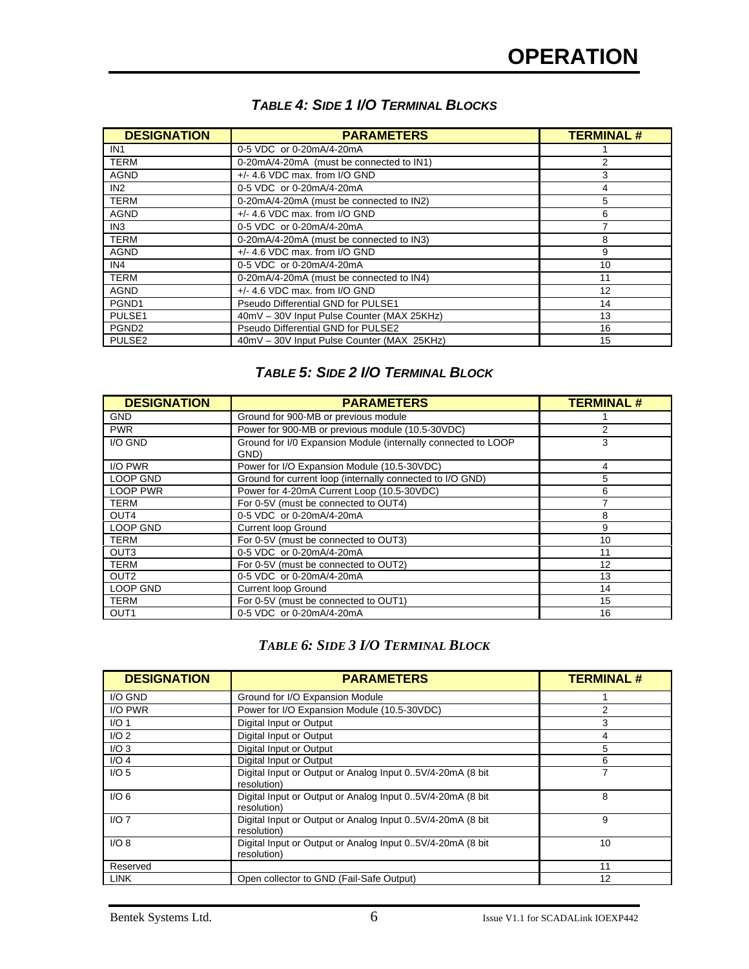| <b>DESIGNATION</b> | <b>PARAMETERS</b>                          | <b>TERMINAL#</b> |
|--------------------|--------------------------------------------|------------------|
| IN1                | 0-5 VDC or 0-20mA/4-20mA                   |                  |
| <b>TERM</b>        | 0-20mA/4-20mA (must be connected to IN1)   | 2                |
| <b>AGND</b>        | $+/-$ 4.6 VDC max. from I/O GND            | 3                |
| IN2                | 0-5 VDC or 0-20mA/4-20mA                   |                  |
| <b>TERM</b>        | 0-20mA/4-20mA (must be connected to IN2)   | 5                |
| <b>AGND</b>        | $+/-$ 4.6 VDC max. from I/O GND            | 6                |
| IN <sub>3</sub>    | 0-5 VDC or 0-20mA/4-20mA                   |                  |
| <b>TERM</b>        | 0-20mA/4-20mA (must be connected to IN3)   | 8                |
| <b>AGND</b>        | $+/-$ 4.6 VDC max. from I/O GND            | 9                |
| IN4                | 0-5 VDC or 0-20mA/4-20mA                   | 10               |
| <b>TERM</b>        | 0-20mA/4-20mA (must be connected to IN4)   | 11               |
| <b>AGND</b>        | $+/-$ 4.6 VDC max. from I/O GND            | 12               |
| PGND1              | Pseudo Differential GND for PULSE1         | 14               |
| PULSE1             | 40mV - 30V Input Pulse Counter (MAX 25KHz) | 13               |
| PGND <sub>2</sub>  | Pseudo Differential GND for PULSE2         | 16               |
| PULSE <sub>2</sub> | 40mV - 30V Input Pulse Counter (MAX 25KHz) | 15               |

#### *TABLE 4: SIDE 1 I/O TERMINAL BLOCKS*

#### *TABLE 5: SIDE 2 I/O TERMINAL BLOCK*

| <b>DESIGNATION</b><br><b>PARAMETERS</b> |                                                                       | <b>TERMINAL#</b> |
|-----------------------------------------|-----------------------------------------------------------------------|------------------|
| <b>GND</b>                              | Ground for 900-MB or previous module                                  |                  |
| <b>PWR</b>                              | Power for 900-MB or previous module (10.5-30VDC)                      | 2                |
| I/O GND                                 | Ground for I/0 Expansion Module (internally connected to LOOP<br>GND) | 3                |
| I/O PWR                                 | Power for I/O Expansion Module (10.5-30VDC)                           | 4                |
| <b>LOOP GND</b>                         | Ground for current loop (internally connected to I/O GND)             | 5                |
| <b>LOOP PWR</b>                         | Power for 4-20mA Current Loop (10.5-30VDC)                            | 6                |
| <b>TERM</b>                             | For 0-5V (must be connected to OUT4)                                  |                  |
| OUT4                                    | 0-5 VDC or 0-20mA/4-20mA                                              | 8                |
| <b>LOOP GND</b>                         | <b>Current loop Ground</b>                                            | 9                |
| <b>TERM</b>                             | For 0-5V (must be connected to OUT3)                                  | 10               |
| OUT <sub>3</sub>                        | 0-5 VDC or 0-20mA/4-20mA                                              | 11               |
| <b>TERM</b>                             | For 0-5V (must be connected to OUT2)                                  | 12               |
| OUT <sub>2</sub>                        | 0-5 VDC or 0-20mA/4-20mA                                              | 13               |
| <b>LOOP GND</b>                         | <b>Current loop Ground</b>                                            | 14               |
| TERM                                    | For 0-5V (must be connected to OUT1)                                  | 15               |
| OUT <sub>1</sub>                        | 0-5 VDC or 0-20mA/4-20mA                                              | 16               |

#### *TABLE 6: SIDE 3 I/O TERMINAL BLOCK*

| <b>DESIGNATION</b> | <b>PARAMETERS</b>                                                         | <b>TERMINAL#</b> |
|--------------------|---------------------------------------------------------------------------|------------------|
| I/O GND            | Ground for I/O Expansion Module                                           |                  |
| I/O PWR            | Power for I/O Expansion Module (10.5-30VDC)                               | 2                |
| I/O <sub>1</sub>   | Digital Input or Output                                                   | 3                |
| I/O <sub>2</sub>   | Digital Input or Output                                                   | 4                |
| I/O3               | Digital Input or Output                                                   | 5                |
| $I/O$ 4            | Digital Input or Output                                                   | 6                |
| I/O <sub>5</sub>   | Digital Input or Output or Analog Input 05V/4-20mA (8 bit)<br>resolution) | 7                |
| I/O <sub>6</sub>   | Digital Input or Output or Analog Input 05V/4-20mA (8 bit)<br>resolution) | 8                |
| $I/O$ 7            | Digital Input or Output or Analog Input 05V/4-20mA (8 bit)<br>resolution) | 9                |
| I/O 8              | Digital Input or Output or Analog Input 05V/4-20mA (8 bit)<br>resolution) | 10               |
| Reserved           |                                                                           | 11               |
| <b>LINK</b>        | Open collector to GND (Fail-Safe Output)                                  | 12               |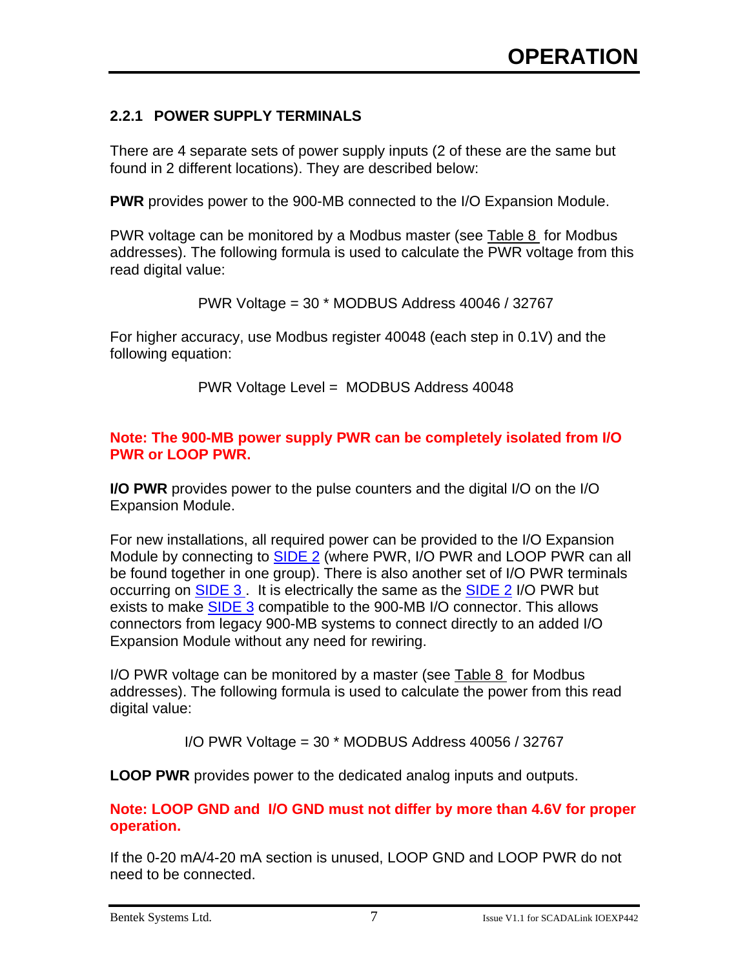#### **2.2.1 POWER SUPPLY TERMINALS**

There are 4 separate sets of power supply inputs (2 of these are the same but found in 2 different locations). They are described below:

**PWR** provides power to the 900-MB connected to the I/O Expansion Module.

PWR voltage can be monitored by a Modbus master (see Table 8 for Modbus addresses). The following formula is used to calculate the PWR voltage from this read digital value:

PWR Voltage = 30 \* MODBUS Address 40046 / 32767

For higher accuracy, use Modbus register 40048 (each step in 0.1V) and the following equation:

PWR Voltage Level = MODBUS Address 40048

#### **Note: The 900-MB power supply PWR can be completely isolated from I/O PWR or LOOP PWR.**

**I/O PWR** provides power to the pulse counters and the digital I/O on the I/O Expansion Module.

For new installations, all required power can be provided to the I/O Expansion Module by connecting to **SIDE 2** (where PWR, I/O PWR and LOOP PWR can all be found together in one group). There is also another set of I/O PWR terminals occurring on SIDE 3 . It is electrically the same as the SIDE 2 I/O PWR but exists to make SIDE 3 compatible to the 900-MB I/O connector. This allows connectors from legacy 900-MB systems to connect directly to an added I/O Expansion Module without any need for rewiring.

I/O PWR voltage can be monitored by a master (see Table 8 for Modbus addresses). The following formula is used to calculate the power from this read digital value:

I/O PWR Voltage = 30 \* MODBUS Address 40056 / 32767

**LOOP PWR** provides power to the dedicated analog inputs and outputs.

**Note: LOOP GND and I/O GND must not differ by more than 4.6V for proper operation.**

If the 0-20 mA/4-20 mA section is unused, LOOP GND and LOOP PWR do not need to be connected.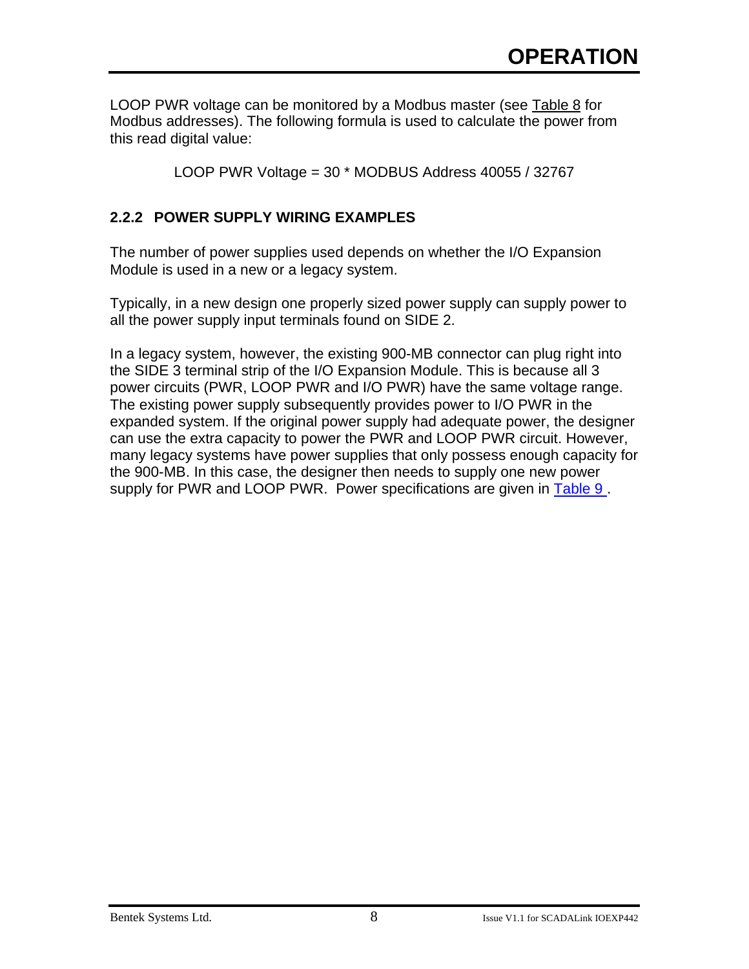LOOP PWR voltage can be monitored by a Modbus master (see Table 8 for Modbus addresses). The following formula is used to calculate the power from this read digital value:

LOOP PWR Voltage = 30 \* MODBUS Address 40055 / 32767

#### **2.2.2 POWER SUPPLY WIRING EXAMPLES**

The number of power supplies used depends on whether the I/O Expansion Module is used in a new or a legacy system.

Typically, in a new design one properly sized power supply can supply power to all the power supply input terminals found on SIDE 2.

In a legacy system, however, the existing 900-MB connector can plug right into the SIDE 3 terminal strip of the I/O Expansion Module. This is because all 3 power circuits (PWR, LOOP PWR and I/O PWR) have the same voltage range. The existing power supply subsequently provides power to I/O PWR in the expanded system. If the original power supply had adequate power, the designer can use the extra capacity to power the PWR and LOOP PWR circuit. However, many legacy systems have power supplies that only possess enough capacity for the 900-MB. In this case, the designer then needs to supply one new power supply for PWR and LOOP PWR. Power specifications are given in Table 9.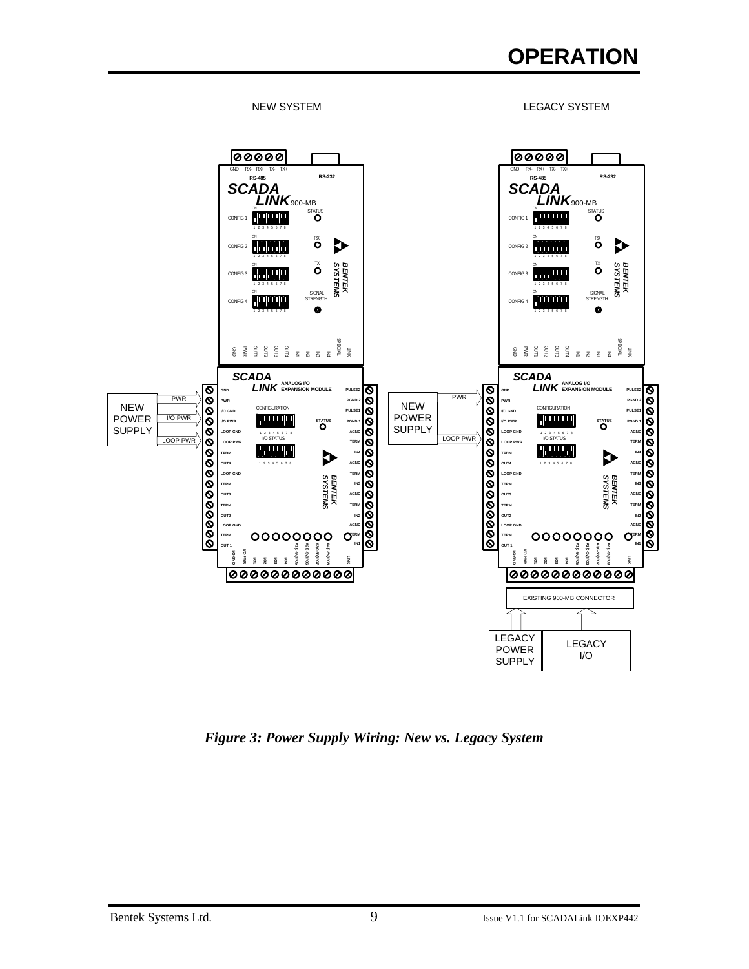## **OPERATION**



*Figure 3: Power Supply Wiring: New vs. Legacy System*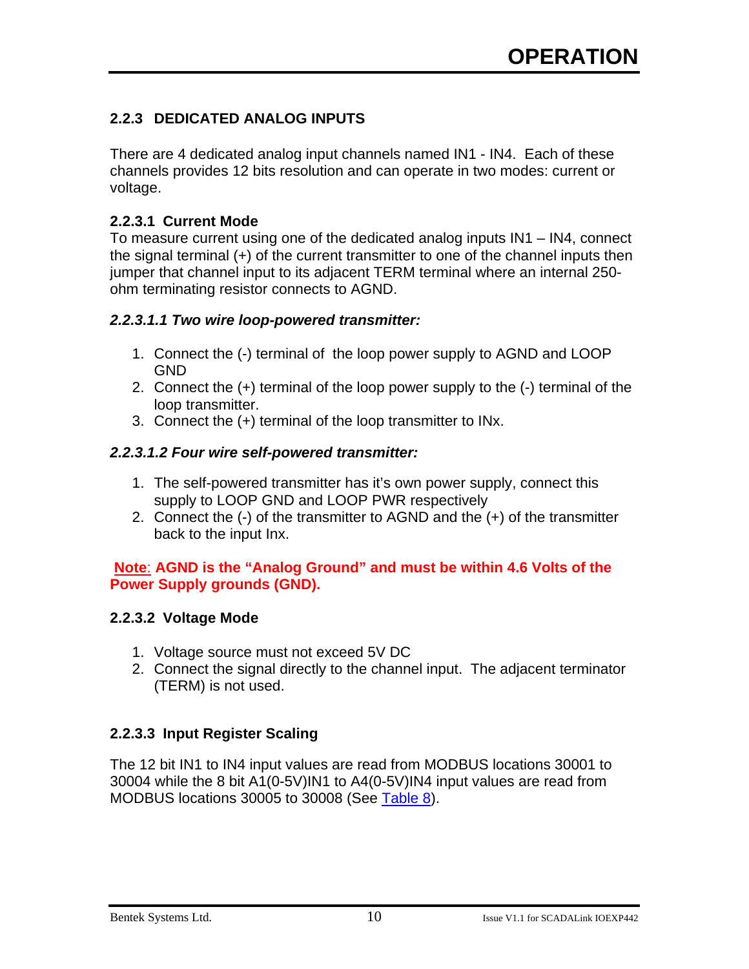#### **2.2.3 DEDICATED ANALOG INPUTS**

There are 4 dedicated analog input channels named IN1 - IN4. Each of these channels provides 12 bits resolution and can operate in two modes: current or voltage.

#### **2.2.3.1 Current Mode**

To measure current using one of the dedicated analog inputs IN1 – IN4, connect the signal terminal (+) of the current transmitter to one of the channel inputs then jumper that channel input to its adjacent TERM terminal where an internal 250 ohm terminating resistor connects to AGND.

#### *2.2.3.1.1 Two wire loop-powered transmitter:*

- 1. Connect the (-) terminal of the loop power supply to AGND and LOOP GND
- 2. Connect the (+) terminal of the loop power supply to the (-) terminal of the loop transmitter.
- 3. Connect the (+) terminal of the loop transmitter to INx.

#### *2.2.3.1.2 Four wire self-powered transmitter:*

- 1. The self-powered transmitter has it's own power supply, connect this supply to LOOP GND and LOOP PWR respectively
- 2. Connect the (-) of the transmitter to AGND and the (+) of the transmitter back to the input Inx.

#### **Note**: **AGND is the "Analog Ground" and must be within 4.6 Volts of the Power Supply grounds (GND).**

#### **2.2.3.2 Voltage Mode**

- 1. Voltage source must not exceed 5V DC
- 2. Connect the signal directly to the channel input. The adjacent terminator (TERM) is not used.

#### **2.2.3.3 Input Register Scaling**

The 12 bit IN1 to IN4 input values are read from MODBUS locations 30001 to 30004 while the 8 bit A1(0-5V)IN1 to A4(0-5V)IN4 input values are read from MODBUS locations 30005 to 30008 (See Table 8).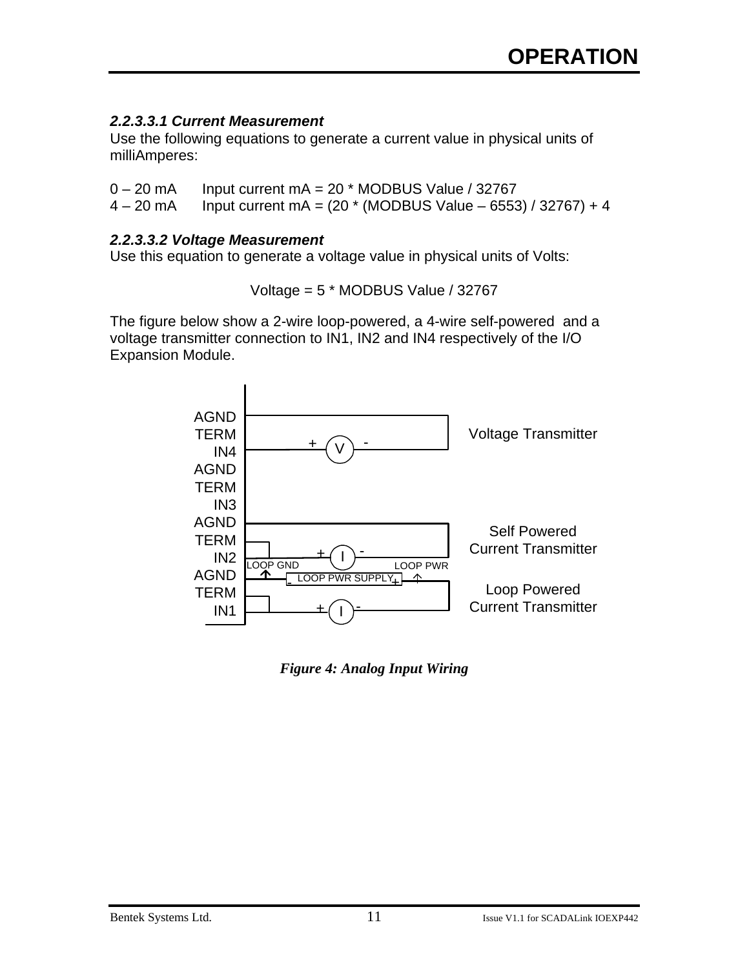#### *2.2.3.3.1 Current Measurement*

Use the following equations to generate a current value in physical units of milliAmperes:

 $0 - 20$  mA Input current mA =  $20$  \* MODBUS Value / 32767

 $4 - 20$  mA Input current mA =  $(20 * (MODBUS Value - 6553) / 32767) + 4$ 

#### *2.2.3.3.2 Voltage Measurement*

Use this equation to generate a voltage value in physical units of Volts:

Voltage = 5 \* MODBUS Value / 32767

The figure below show a 2-wire loop-powered, a 4-wire self-powered and a voltage transmitter connection to IN1, IN2 and IN4 respectively of the I/O Expansion Module.



*Figure 4: Analog Input Wiring*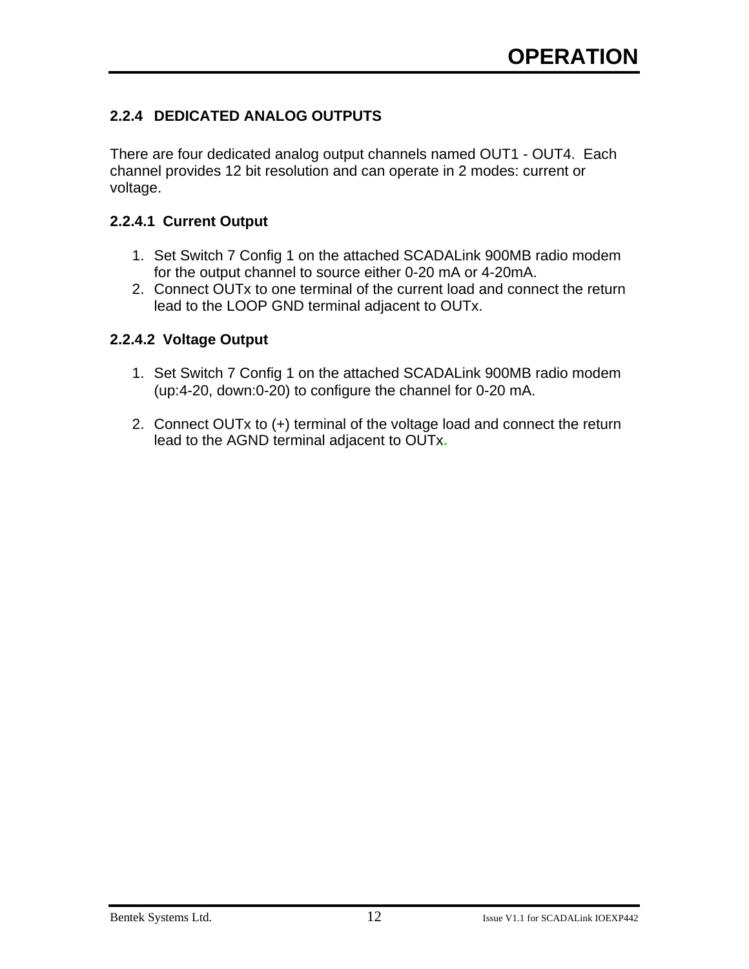#### **2.2.4 DEDICATED ANALOG OUTPUTS**

There are four dedicated analog output channels named OUT1 - OUT4. Each channel provides 12 bit resolution and can operate in 2 modes: current or voltage.

#### **2.2.4.1 Current Output**

- 1. Set Switch 7 Config 1 on the attached SCADALink 900MB radio modem for the output channel to source either 0-20 mA or 4-20mA.
- 2. Connect OUTx to one terminal of the current load and connect the return lead to the LOOP GND terminal adjacent to OUTx.

#### **2.2.4.2 Voltage Output**

- 1. Set Switch 7 Config 1 on the attached SCADALink 900MB radio modem (up:4-20, down:0-20) to configure the channel for 0-20 mA.
- 2. Connect OUTx to (+) terminal of the voltage load and connect the return lead to the AGND terminal adjacent to OUTx**.**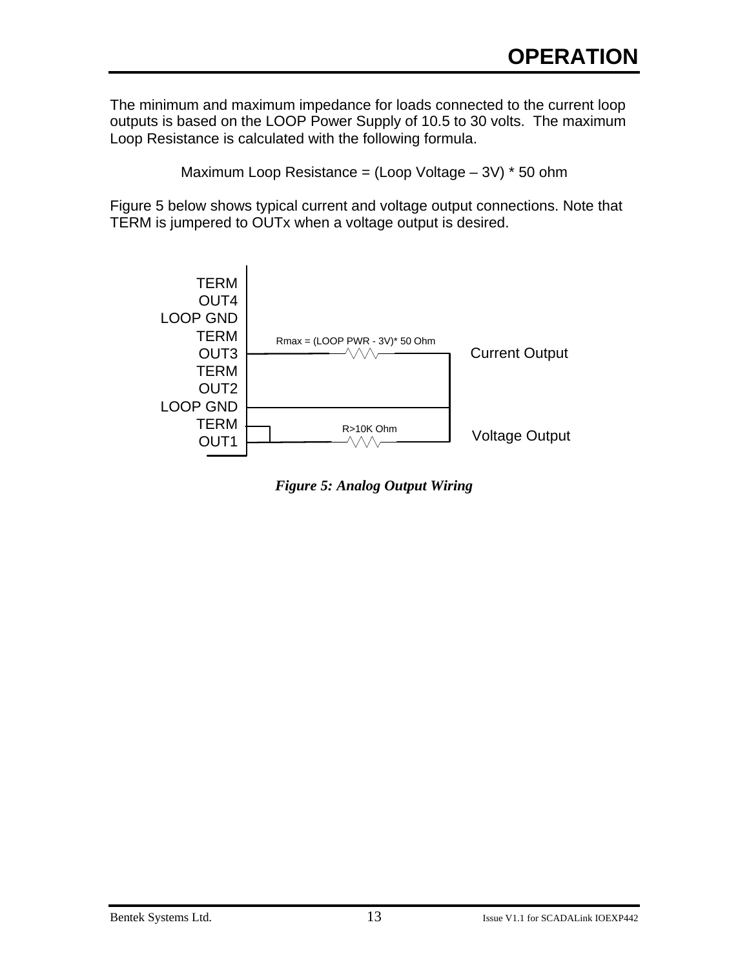The minimum and maximum impedance for loads connected to the current loop outputs is based on the LOOP Power Supply of 10.5 to 30 volts. The maximum Loop Resistance is calculated with the following formula.

Maximum Loop Resistance = (Loop Voltage – 3V) \* 50 ohm

Figure 5 below shows typical current and voltage output connections. Note that TERM is jumpered to OUTx when a voltage output is desired.



*Figure 5: Analog Output Wiring*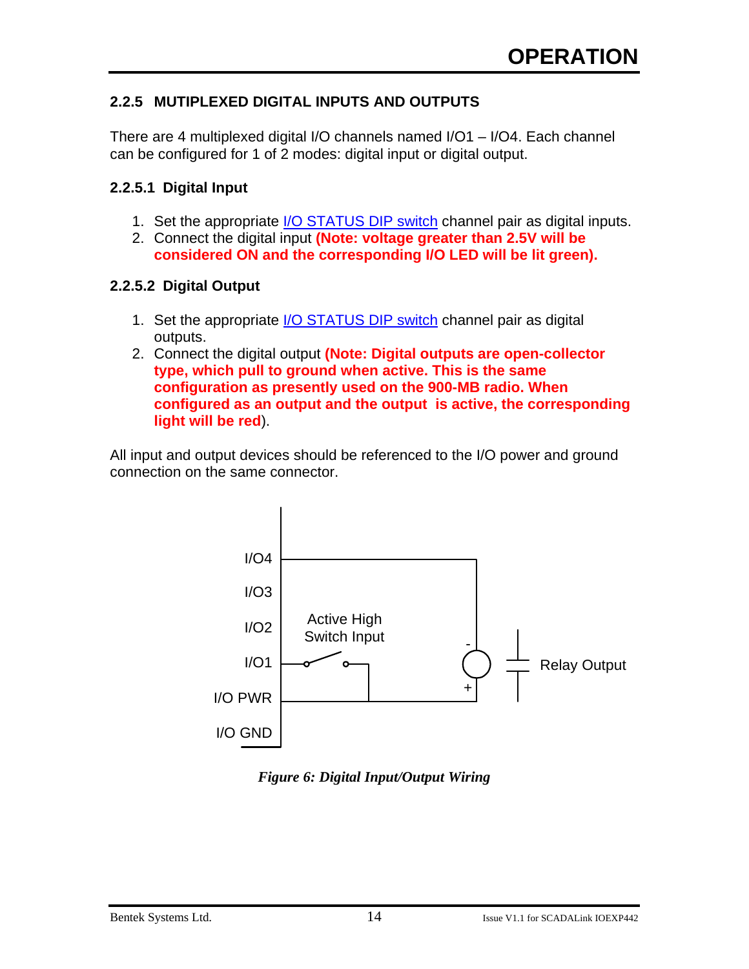#### **2.2.5 MUTIPLEXED DIGITAL INPUTS AND OUTPUTS**

There are 4 multiplexed digital I/O channels named I/O1 – I/O4. Each channel can be configured for 1 of 2 modes: digital input or digital output.

#### **2.2.5.1 Digital Input**

- 1. Set the appropriate I/O STATUS DIP switch channel pair as digital inputs.
- 2. Connect the digital input **(Note: voltage greater than 2.5V will be considered ON and the corresponding I/O LED will be lit green).**

#### **2.2.5.2 Digital Output**

- 1. Set the appropriate I/O STATUS DIP switch channel pair as digital outputs.
- 2. Connect the digital output **(Note: Digital outputs are open-collector type, which pull to ground when active. This is the same configuration as presently used on the 900-MB radio. When configured as an output and the output is active, the corresponding light will be red**).

All input and output devices should be referenced to the I/O power and ground connection on the same connector.



*Figure 6: Digital Input/Output Wiring*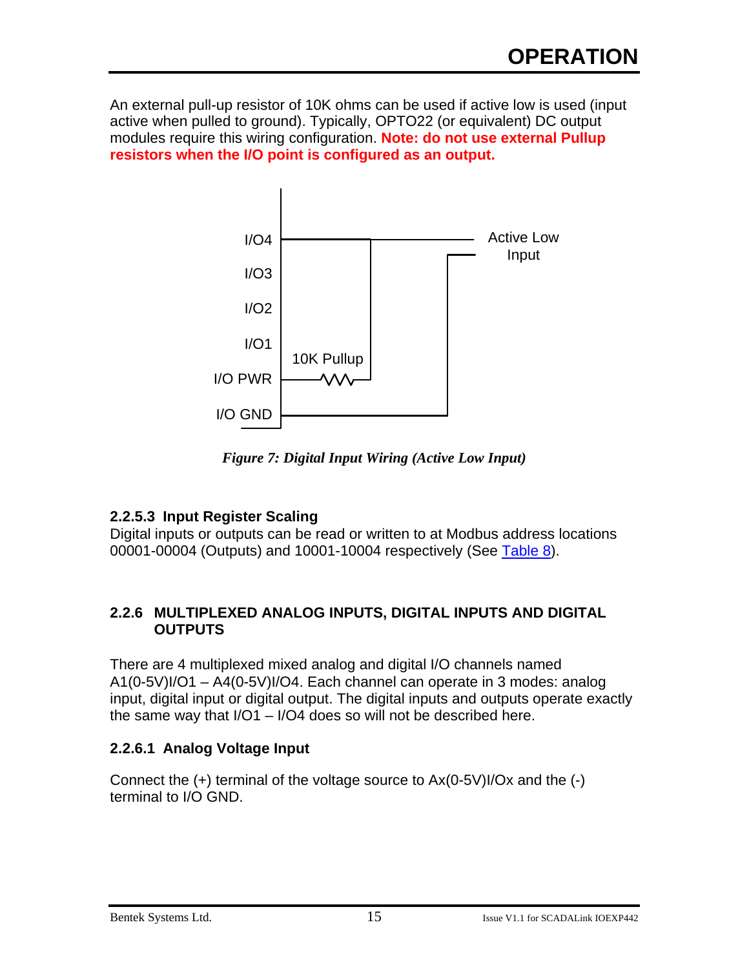An external pull-up resistor of 10K ohms can be used if active low is used (input active when pulled to ground). Typically, OPTO22 (or equivalent) DC output modules require this wiring configuration. **Note: do not use external Pullup resistors when the I/O point is configured as an output.**



*Figure 7: Digital Input Wiring (Active Low Input)*

#### **2.2.5.3 Input Register Scaling**

Digital inputs or outputs can be read or written to at Modbus address locations 00001-00004 (Outputs) and 10001-10004 respectively (See Table 8).

#### **2.2.6 MULTIPLEXED ANALOG INPUTS, DIGITAL INPUTS AND DIGITAL OUTPUTS**

There are 4 multiplexed mixed analog and digital I/O channels named A1(0-5V)I/O1 – A4(0-5V)I/O4. Each channel can operate in 3 modes: analog input, digital input or digital output. The digital inputs and outputs operate exactly the same way that I/O1 – I/O4 does so will not be described here.

#### **2.2.6.1 Analog Voltage Input**

Connect the (+) terminal of the voltage source to Ax(0-5V)I/Ox and the (-) terminal to I/O GND.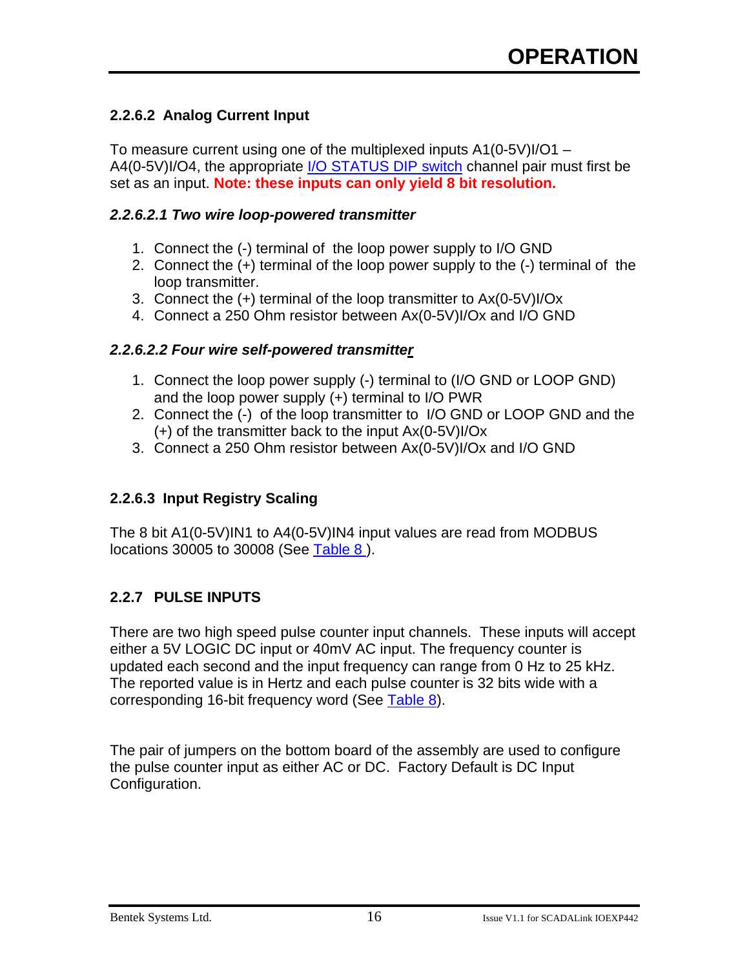#### **2.2.6.2 Analog Current Input**

To measure current using one of the multiplexed inputs A1(0-5V)I/O1 – A4(0-5V)I/O4, the appropriate I/O STATUS DIP switch channel pair must first be set as an input. **Note: these inputs can only yield 8 bit resolution.**

#### *2.2.6.2.1 Two wire loop-powered transmitter*

- 1. Connect the (-) terminal of the loop power supply to I/O GND
- 2. Connect the (+) terminal of the loop power supply to the (-) terminal of the loop transmitter.
- 3. Connect the (+) terminal of the loop transmitter to Ax(0-5V)I/Ox
- 4. Connect a 250 Ohm resistor between Ax(0-5V)I/Ox and I/O GND

#### *2.2.6.2.2 Four wire self-powered transmitter*

- 1. Connect the loop power supply (-) terminal to (I/O GND or LOOP GND) and the loop power supply (+) terminal to I/O PWR
- 2. Connect the (-) of the loop transmitter to I/O GND or LOOP GND and the (+) of the transmitter back to the input Ax(0-5V)I/Ox
- 3. Connect a 250 Ohm resistor between Ax(0-5V)I/Ox and I/O GND

#### **2.2.6.3 Input Registry Scaling**

The 8 bit A1(0-5V)IN1 to A4(0-5V)IN4 input values are read from MODBUS locations 30005 to 30008 (See Table 8 ).

#### **2.2.7 PULSE INPUTS**

There are two high speed pulse counter input channels. These inputs will accept either a 5V LOGIC DC input or 40mV AC input. The frequency counter is updated each second and the input frequency can range from 0 Hz to 25 kHz. The reported value is in Hertz and each pulse counter is 32 bits wide with a corresponding 16-bit frequency word (See Table 8).

The pair of jumpers on the bottom board of the assembly are used to configure the pulse counter input as either AC or DC. Factory Default is DC Input Configuration.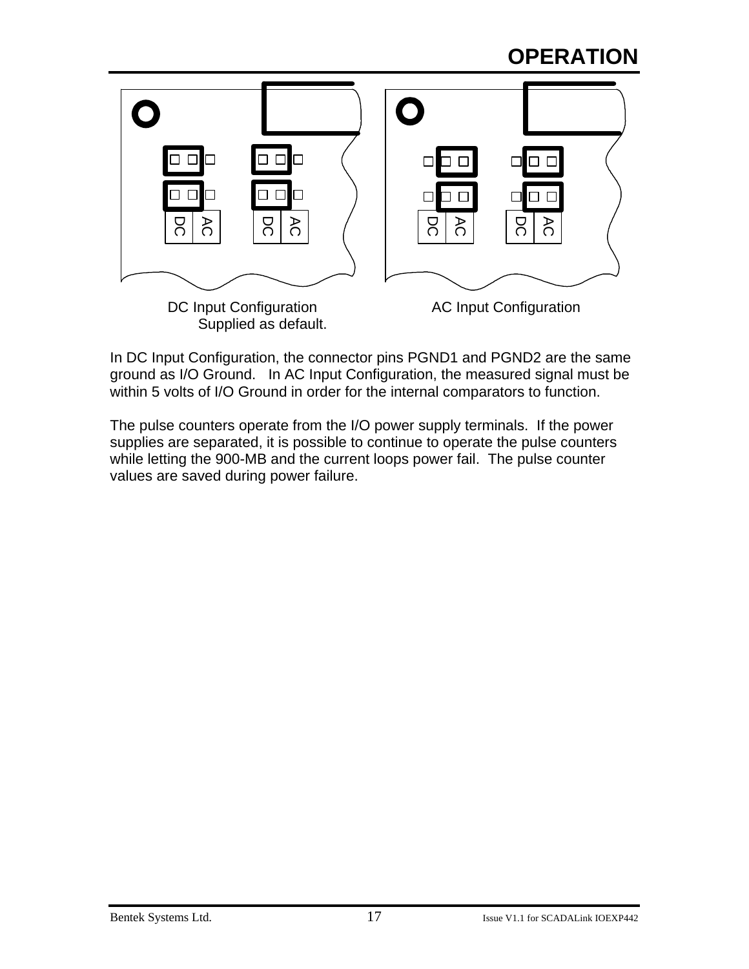## **OPERATION**



In DC Input Configuration, the connector pins PGND1 and PGND2 are the same ground as I/O Ground. In AC Input Configuration, the measured signal must be within 5 volts of I/O Ground in order for the internal comparators to function.

The pulse counters operate from the I/O power supply terminals. If the power supplies are separated, it is possible to continue to operate the pulse counters while letting the 900-MB and the current loops power fail. The pulse counter values are saved during power failure.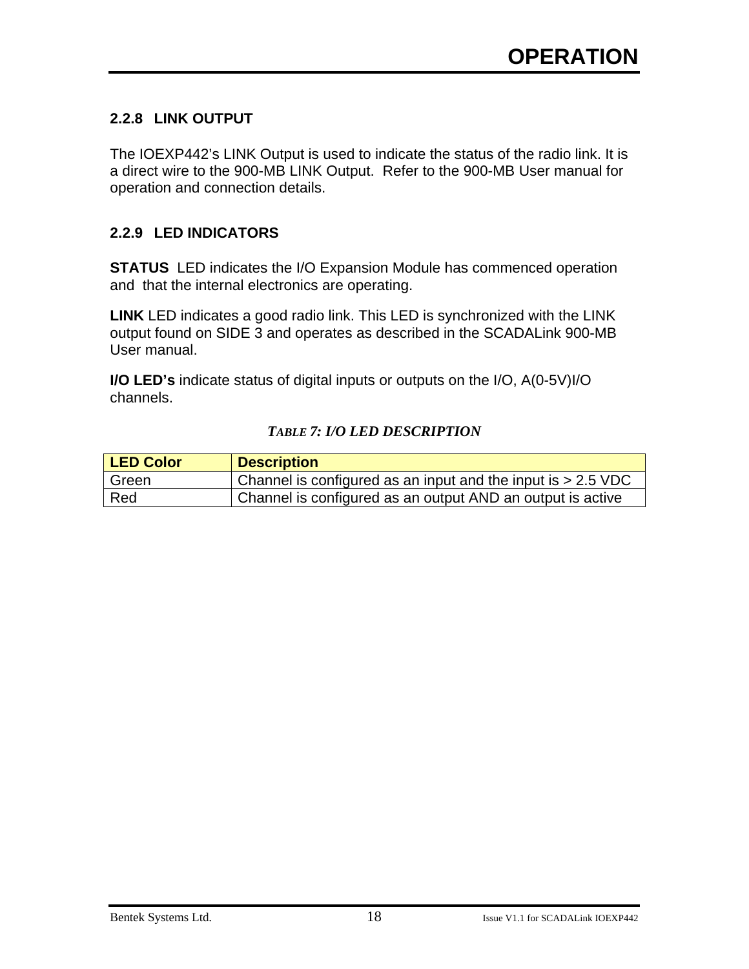#### **2.2.8 LINK OUTPUT**

The IOEXP442's LINK Output is used to indicate the status of the radio link. It is a direct wire to the 900-MB LINK Output. Refer to the 900-MB User manual for operation and connection details.

#### **2.2.9 LED INDICATORS**

**STATUS** LED indicates the I/O Expansion Module has commenced operation and that the internal electronics are operating.

**LINK** LED indicates a good radio link. This LED is synchronized with the LINK output found on SIDE 3 and operates as described in the SCADALink 900-MB User manual.

**I/O LED's** indicate status of digital inputs or outputs on the I/O, A(0-5V)I/O channels.

#### *TABLE 7: I/O LED DESCRIPTION*

| <b>LED Color</b> | <b>Description</b>                                           |
|------------------|--------------------------------------------------------------|
| Green            | Channel is configured as an input and the input is > 2.5 VDC |
| Red              | Channel is configured as an output AND an output is active   |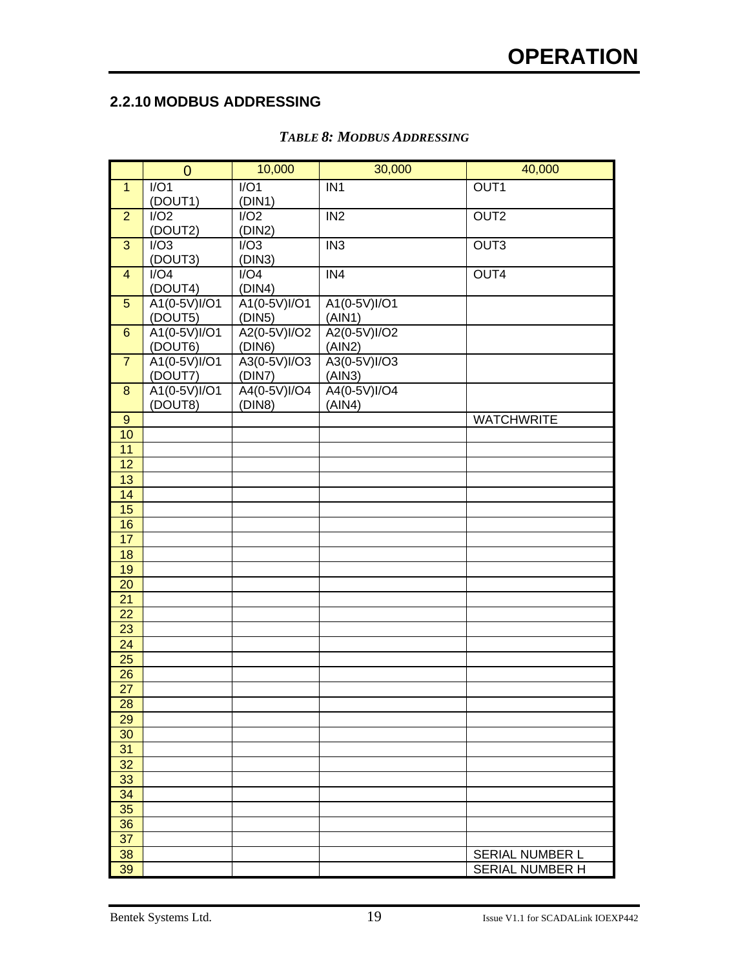#### **2.2.10 MODBUS ADDRESSING**

|                                    | $\overline{0}$          | 10,000                 | 30,000                 | 40,000                 |
|------------------------------------|-------------------------|------------------------|------------------------|------------------------|
| $\mathbf{1}$                       | I/O1                    | $\overline{IO1}$       | IN <sub>1</sub>        | OUT <sub>1</sub>       |
|                                    | (DOUT1)                 | (DIN1)                 |                        |                        |
| $\overline{2}$                     | I/O2                    | I/O2                   | IN <sub>2</sub>        | OUT <sub>2</sub>       |
|                                    | (DOUT2)                 | (DIN2)                 |                        |                        |
| $\overline{3}$                     | I/O3                    | $\overline{1/03}$      | $\overline{IN3}$       | OUT <sub>3</sub>       |
| $\overline{4}$                     | (DOUT3)<br>I/O4         | (DIN3)<br>I/O4         | $\overline{IN4}$       | OUT4                   |
|                                    | (DOUT4)                 | (DIN4)                 |                        |                        |
| $\overline{5}$                     | A1(0-5V)I/O1            | A1(0-5V)I/O1           | A1(0-5V)I/O1           |                        |
|                                    | (DOUT5)                 | (DIN5)                 | (AIN1)                 |                        |
| $6\phantom{a}$                     | A1(0-5V)I/O1            | A2(0-5V)I/O2           | A2(0-5V)I/O2           |                        |
|                                    | (DOUT6)                 | (DIN6)                 | (AIN2)                 |                        |
| $\overline{7}$                     | A1(0-5V)I/O1            | A3(0-5V)I/O3           | A3(0-5V)I/O3           |                        |
|                                    | (DOUT7)                 | (DIN7)                 | (AIN3)                 |                        |
| $\boldsymbol{8}$                   | A1(0-5V)I/O1<br>(DOUT8) | A4(0-5V)I/O4<br>(DIN8) | A4(0-5V)I/O4<br>(AIN4) |                        |
| $\overline{9}$                     |                         |                        |                        | <b>WATCHWRITE</b>      |
| 10                                 |                         |                        |                        |                        |
| 11                                 |                         |                        |                        |                        |
| 12                                 |                         |                        |                        |                        |
| 13                                 |                         |                        |                        |                        |
| 14                                 |                         |                        |                        |                        |
| 15                                 |                         |                        |                        |                        |
| 16                                 |                         |                        |                        |                        |
| 17                                 |                         |                        |                        |                        |
| 18                                 |                         |                        |                        |                        |
| 19                                 |                         |                        |                        |                        |
| $\overline{20}$<br>$\overline{21}$ |                         |                        |                        |                        |
| $\overline{22}$                    |                         |                        |                        |                        |
| <b>23</b>                          |                         |                        |                        |                        |
| $\overline{24}$                    |                         |                        |                        |                        |
| $\overline{25}$                    |                         |                        |                        |                        |
| $\overline{26}$                    |                         |                        |                        |                        |
| $\overline{27}$                    |                         |                        |                        |                        |
| $\overline{28}$                    |                         |                        |                        |                        |
| 29                                 |                         |                        |                        |                        |
| 30                                 |                         |                        |                        |                        |
| 31                                 |                         |                        |                        |                        |
| 32<br>33                           |                         |                        |                        |                        |
| 34                                 |                         |                        |                        |                        |
| 35                                 |                         |                        |                        |                        |
| 36                                 |                         |                        |                        |                        |
| 37                                 |                         |                        |                        |                        |
| 38                                 |                         |                        |                        | <b>SERIAL NUMBER L</b> |
| 39                                 |                         |                        |                        | <b>SERIAL NUMBER H</b> |

#### *TABLE 8: MODBUS ADDRESSING*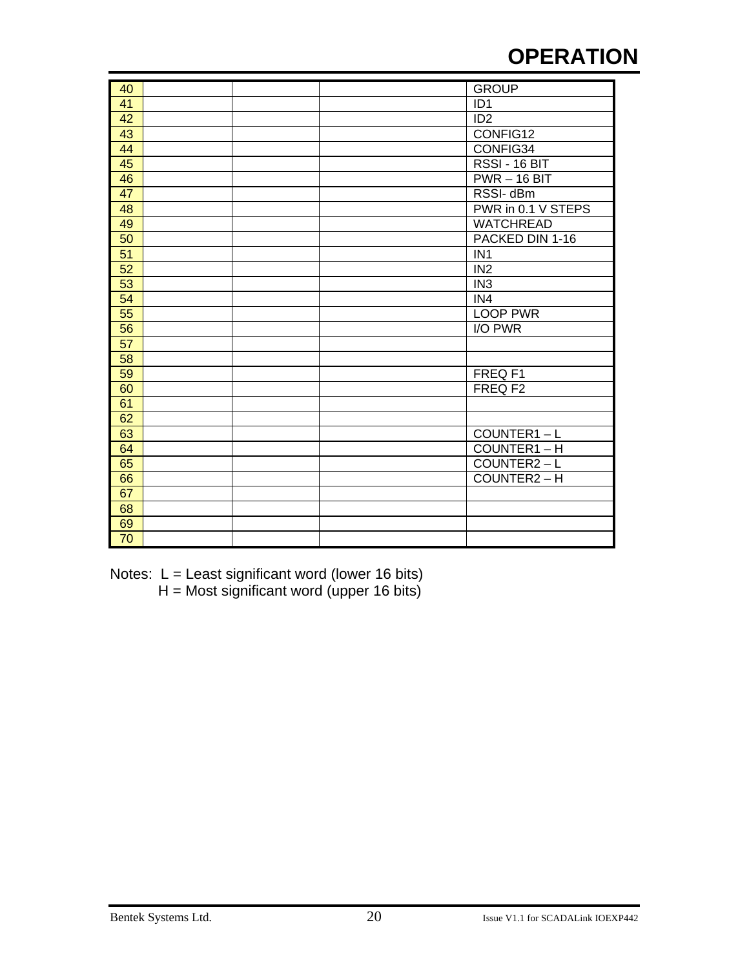## **OPERATION**

| 40              |  | <b>GROUP</b>       |
|-----------------|--|--------------------|
| 41              |  | ID <sub>1</sub>    |
| 42              |  | ID <sub>2</sub>    |
| 43              |  | CONFIG12           |
| 44              |  | CONFIG34           |
| 45              |  | RSSI - 16 BIT      |
| 46              |  | $PWR - 16$ BIT     |
| 47              |  | RSSI-dBm           |
| 48              |  | PWR in 0.1 V STEPS |
| 49              |  | <b>WATCHREAD</b>   |
| 50              |  | PACKED DIN 1-16    |
| $\overline{51}$ |  | IN <sub>1</sub>    |
| 52              |  | IN <sub>2</sub>    |
| 53              |  | IN <sub>3</sub>    |
| 54              |  | IN4                |
| 55              |  | <b>LOOP PWR</b>    |
| $\overline{56}$ |  | I/O PWR            |
| $\overline{57}$ |  |                    |
| 58              |  |                    |
| 59              |  | FREQ F1            |
| 60              |  | FREQ F2            |
| 61              |  |                    |
| 62              |  |                    |
| 63              |  | COUNTER1-L         |
| 64              |  | COUNTER1-H         |
| 65              |  | COUNTER2-L         |
| 66              |  | COUNTER2-H         |
| 67              |  |                    |
| 68              |  |                    |
| 69              |  |                    |
| $\overline{70}$ |  |                    |

Notes: L = Least significant word (lower 16 bits) H = Most significant word (upper 16 bits)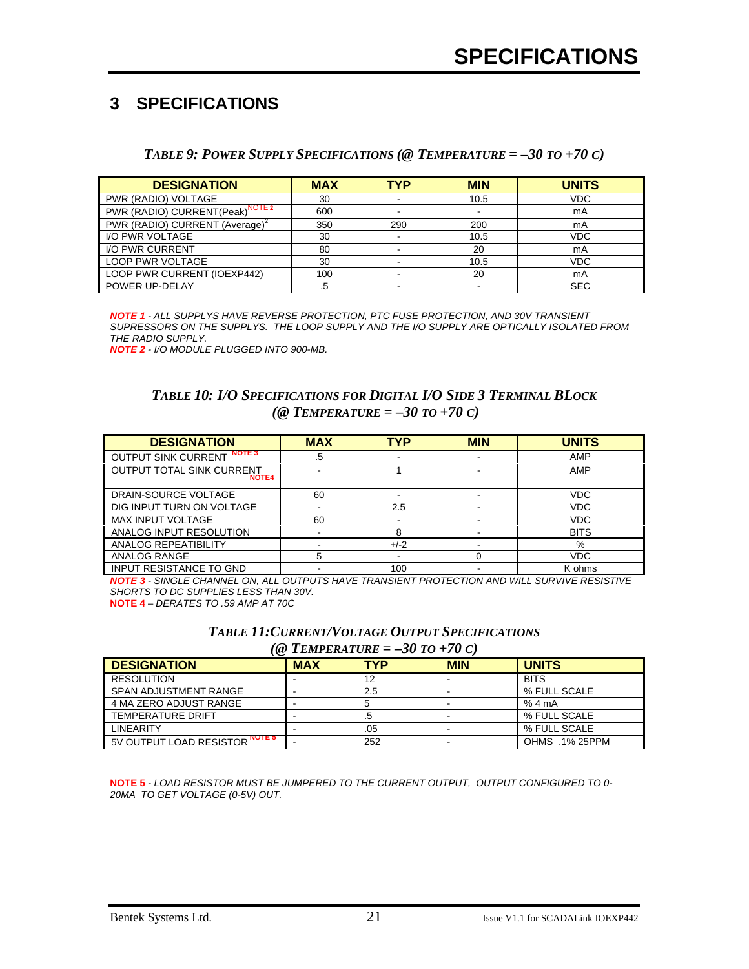### **3 SPECIFICATIONS**

#### *TABLE 9: POWER SUPPLY SPECIFICATIONS (@ TEMPERATURE =*  $-30$  *TO*  $+70$  *C)*

| <b>DESIGNATION</b>                               | <b>MAX</b> | TYP | <b>MIN</b> | <b>UNITS</b> |
|--------------------------------------------------|------------|-----|------------|--------------|
| PWR (RADIO) VOLTAGE                              | 30         |     | 10.5       | <b>VDC</b>   |
| NOTE 2<br>PWR (RADIO) CURRENT(Peak) <sup>"</sup> | 600        |     |            | mA           |
| PWR (RADIO) CURRENT (Average) <sup>2</sup>       | 350        | 290 | 200        | mA           |
| I/O PWR VOLTAGE                                  | 30         |     | 10.5       | <b>VDC</b>   |
| I/O PWR CURRENT                                  | 80         |     | 20         | mA           |
| <b>LOOP PWR VOLTAGE</b>                          | 30         |     | 10.5       | <b>VDC</b>   |
| LOOP PWR CURRENT (IOEXP442)                      | 100        |     | 20         | mA           |
| POWER UP-DELAY                                   | .5         |     |            | <b>SEC</b>   |

*NOTE 1 - ALL SUPPLYS HAVE REVERSE PROTECTION, PTC FUSE PROTECTION, AND 30V TRANSIENT SUPRESSORS ON THE SUPPLYS. THE LOOP SUPPLY AND THE I/O SUPPLY ARE OPTICALLY ISOLATED FROM THE RADIO SUPPLY.*

*NOTE 2 - I/O MODULE PLUGGED INTO 900-MB.*

#### *TABLE 10: I/O SPECIFICATIONS FOR DIGITAL I/O SIDE 3 TERMINAL BLOCK (@ TEMPERATURE = –30 TO +70 C)*

| <b>DESIGNATION</b>                               | <b>MAX</b> | <b>TYP</b> | <b>MIN</b> | <b>UNITS</b> |
|--------------------------------------------------|------------|------------|------------|--------------|
| <b>NOTE 3</b><br><b>OUTPUT SINK CURRENT</b>      | .5         |            |            | AMP          |
| <b>OUTPUT TOTAL SINK CURRENT</b><br><b>NOTE4</b> |            |            |            | AMP          |
| DRAIN-SOURCE VOLTAGE                             | 60         |            |            | <b>VDC</b>   |
| DIG INPUT TURN ON VOLTAGE                        |            | 2.5        |            | <b>VDC</b>   |
| <b>MAX INPUT VOLTAGE</b>                         | 60         |            |            | <b>VDC</b>   |
| ANALOG INPUT RESOLUTION                          |            | 8          |            | <b>BITS</b>  |
| ANALOG REPEATIBILITY                             |            | $+/-2$     |            | %            |
| ANALOG RANGE                                     | 5          |            |            | <b>VDC</b>   |
| <b>INPUT RESISTANCE TO GND</b>                   |            | 100        |            | K ohms       |

*NOTE 3 - SINGLE CHANNEL ON, ALL OUTPUTS HAVE TRANSIENT PROTECTION AND WILL SURVIVE RESISTIVE SHORTS TO DC SUPPLIES LESS THAN 30V.* **NOTE 4** – *DERATES TO .59 AMP AT 70C*

> *TABLE 11:CURRENT/VOLTAGE OUTPUT SPECIFICATIONS*  $(Q \text{ } T$ *EMPERATURE* = -30 *TO* +70 *C*)

| <b>DESIGNATION</b>             | <b>MAX</b> | <b>TYP</b> | <b>MIN</b> | <b>UNITS</b>   |
|--------------------------------|------------|------------|------------|----------------|
| <b>RESOLUTION</b>              |            | 12         |            | <b>BITS</b>    |
| SPAN ADJUSTMENT RANGE          |            | 2.5        |            | % FULL SCALE   |
| 4 MA ZERO ADJUST RANGE         |            |            |            | %4mA           |
| <b>TEMPERATURE DRIFT</b>       |            | .5         | -          | % FULL SCALE   |
| <b>LINEARITY</b>               |            | .05        | -          | % FULL SCALE   |
| 5V OUTPUT LOAD RESISTOR NOTE 5 |            | 252        |            | OHMS .1% 25PPM |

**NOTE 5** - *LOAD RESISTOR MUST BE JUMPERED TO THE CURRENT OUTPUT, OUTPUT CONFIGURED TO 0- 20MA TO GET VOLTAGE (0-5V) OUT.*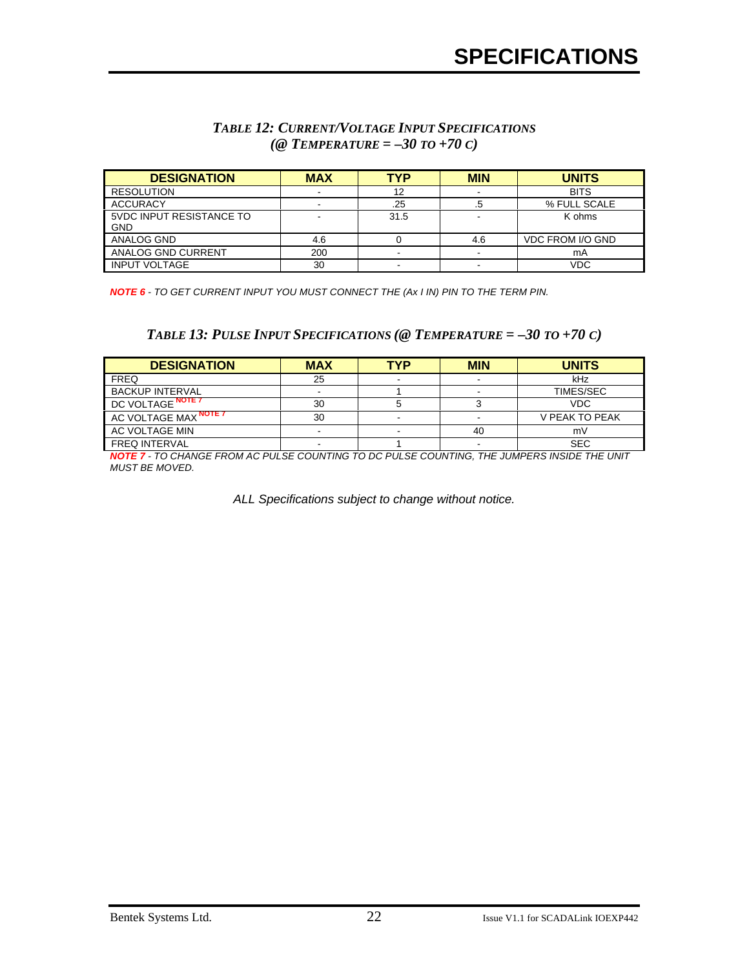#### *TABLE 12: CURRENT/VOLTAGE INPUT SPECIFICATIONS (@ TEMPERATURE = –30 TO +70 C)*

| <b>DESIGNATION</b>                     | <b>MAX</b> | TYP  | <b>MIN</b> | <b>UNITS</b>            |
|----------------------------------------|------------|------|------------|-------------------------|
| <b>RESOLUTION</b>                      |            | 12   |            | <b>BITS</b>             |
| <b>ACCURACY</b>                        |            | .25  |            | % FULL SCALE            |
| 5VDC INPUT RESISTANCE TO<br><b>GND</b> |            | 31.5 |            | K ohms                  |
| ANALOG GND                             | 4.6        |      | 4.6        | <b>VDC FROM I/O GND</b> |
| ANALOG GND CURRENT                     | 200        |      |            | mA                      |
| <b>INPUT VOLTAGE</b>                   | 30         |      |            | VDC                     |

*NOTE 6 - TO GET CURRENT INPUT YOU MUST CONNECT THE (Ax I IN) PIN TO THE TERM PIN.*

#### $TABLE 13: PULSE INPUT SPECIFICATIONS (@ TEMPERATURE = -30 T0 + 70 C)$

| <b>DESIGNATION</b>     | <b>MAX</b> | TYP | <b>MIN</b> | <b>UNITS</b>     |
|------------------------|------------|-----|------------|------------------|
| <b>FREQ</b>            | 25         |     |            | kHz              |
| <b>BACKUP INTERVAL</b> |            |     |            | <b>TIMES/SEC</b> |
| DC VOLTAGE NOTE 7      | 30         |     |            | <b>VDC</b>       |
| AC VOLTAGE MAX NOTE 7  | 30         |     |            | V PEAK TO PEAK   |
| AC VOLTAGE MIN         |            |     | 40         | m٧               |
| <b>FREQ INTERVAL</b>   |            |     |            | <b>SEC</b>       |

*NOTE 7 - TO CHANGE FROM AC PULSE COUNTING TO DC PULSE COUNTING, THE JUMPERS INSIDE THE UNIT MUST BE MOVED.*

*ALL Specifications subject to change without notice.*